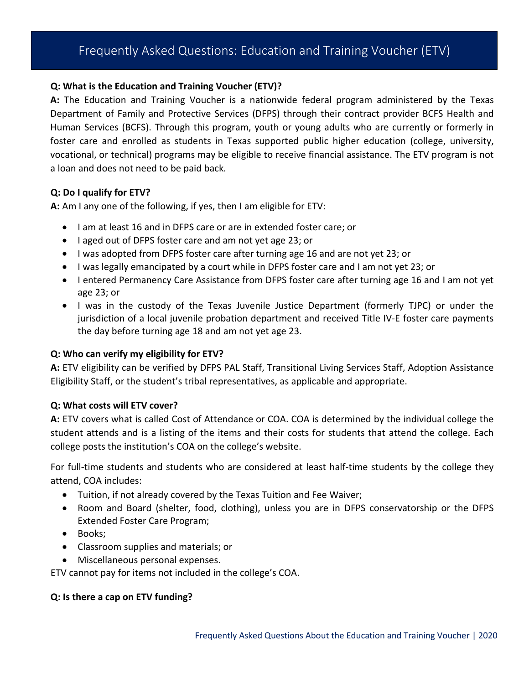# Frequently Asked Questions: Education and Training Voucher (ETV)

#### **Q: What is the Education and Training Voucher (ETV)?**

**A:** The Education and Training Voucher is a nationwide federal program administered by the Texas Department of Family and Protective Services (DFPS) through their contract provider BCFS Health and Human Services (BCFS). Through this program, youth or young adults who are currently or formerly in foster care and enrolled as students in Texas supported public higher education (college, university, vocational, or technical) programs may be eligible to receive financial assistance. The ETV program is not a loan and does not need to be paid back.

### **Q: Do I qualify for ETV?**

**A:** Am I any one of the following, if yes, then I am eligible for ETV:

- I am at least 16 and in DFPS care or are in extended foster care; or
- I aged out of DFPS foster care and am not yet age 23; or
- I was adopted from DFPS foster care after turning age 16 and are not yet 23; or
- I was legally emancipated by a court while in DFPS foster care and I am not yet 23; or
- I entered Permanency Care Assistance from DFPS foster care after turning age 16 and I am not yet age 23; or
- I was in the custody of the Texas Juvenile Justice Department (formerly TJPC) or under the jurisdiction of a local juvenile probation department and received Title IV-E foster care payments the day before turning age 18 and am not yet age 23.

### **Q: Who can verify my eligibility for ETV?**

**A:** ETV eligibility can be verified by DFPS PAL Staff, Transitional Living Services Staff, Adoption Assistance Eligibility Staff, or the student's tribal representatives, as applicable and appropriate.

### **Q: What costs will ETV cover?**

**A:** ETV covers what is called Cost of Attendance or COA. COA is determined by the individual college the student attends and is a listing of the items and their costs for students that attend the college. Each college posts the institution's COA on the college's website.

For full-time students and students who are considered at least half-time students by the college they attend, COA includes:

- Tuition, if not already covered by the Texas Tuition and Fee Waiver;
- Room and Board (shelter, food, clothing), unless you are in DFPS conservatorship or the DFPS Extended Foster Care Program;
- Books;
- Classroom supplies and materials; or
- Miscellaneous personal expenses.

ETV cannot pay for items not included in the college's COA.

#### **Q: Is there a cap on ETV funding?**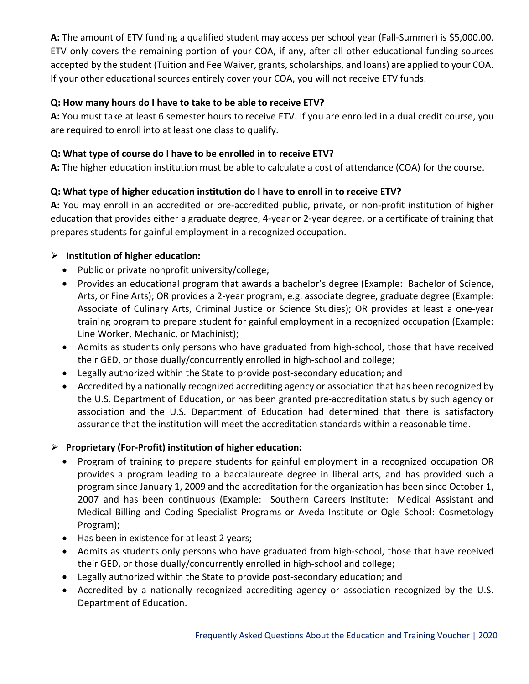**A:** The amount of ETV funding a qualified student may access per school year (Fall-Summer) is \$5,000.00. ETV only covers the remaining portion of your COA, if any, after all other educational funding sources accepted by the student (Tuition and Fee Waiver, grants, scholarships, and loans) are applied to your COA. If your other educational sources entirely cover your COA, you will not receive ETV funds.

# **Q: How many hours do I have to take to be able to receive ETV?**

**A:** You must take at least 6 semester hours to receive ETV. If you are enrolled in a dual credit course, you are required to enroll into at least one class to qualify.

# **Q: What type of course do I have to be enrolled in to receive ETV?**

**A:** The higher education institution must be able to calculate a cost of attendance (COA) for the course.

# **Q: What type of higher education institution do I have to enroll in to receive ETV?**

**A:** You may enroll in an accredited or pre-accredited public, private, or non-profit institution of higher education that provides either a graduate degree, 4-year or 2-year degree, or a certificate of training that prepares students for gainful employment in a recognized occupation.

# **Institution of higher education:**

- Public or private nonprofit university/college;
- Provides an educational program that awards a bachelor's degree (Example: Bachelor of Science, Arts, or Fine Arts); OR provides a 2-year program, e.g. associate degree, graduate degree (Example: Associate of Culinary Arts, Criminal Justice or Science Studies); OR provides at least a one-year training program to prepare student for gainful employment in a recognized occupation (Example: Line Worker, Mechanic, or Machinist);
- Admits as students only persons who have graduated from high-school, those that have received their GED, or those dually/concurrently enrolled in high-school and college;
- Legally authorized within the State to provide post-secondary education; and
- Accredited by a nationally recognized accrediting agency or association that has been recognized by the U.S. Department of Education, or has been granted pre-accreditation status by such agency or association and the U.S. Department of Education had determined that there is satisfactory assurance that the institution will meet the accreditation standards within a reasonable time.

# **Proprietary (For-Profit) institution of higher education:**

- Program of training to prepare students for gainful employment in a recognized occupation OR provides a program leading to a baccalaureate degree in liberal arts, and has provided such a program since January 1, 2009 and the accreditation for the organization has been since October 1, 2007 and has been continuous (Example: Southern Careers Institute: Medical Assistant and Medical Billing and Coding Specialist Programs or Aveda Institute or Ogle School: Cosmetology Program);
- Has been in existence for at least 2 years;
- Admits as students only persons who have graduated from high-school, those that have received their GED, or those dually/concurrently enrolled in high-school and college;
- Legally authorized within the State to provide post-secondary education; and
- Accredited by a nationally recognized accrediting agency or association recognized by the U.S. Department of Education.